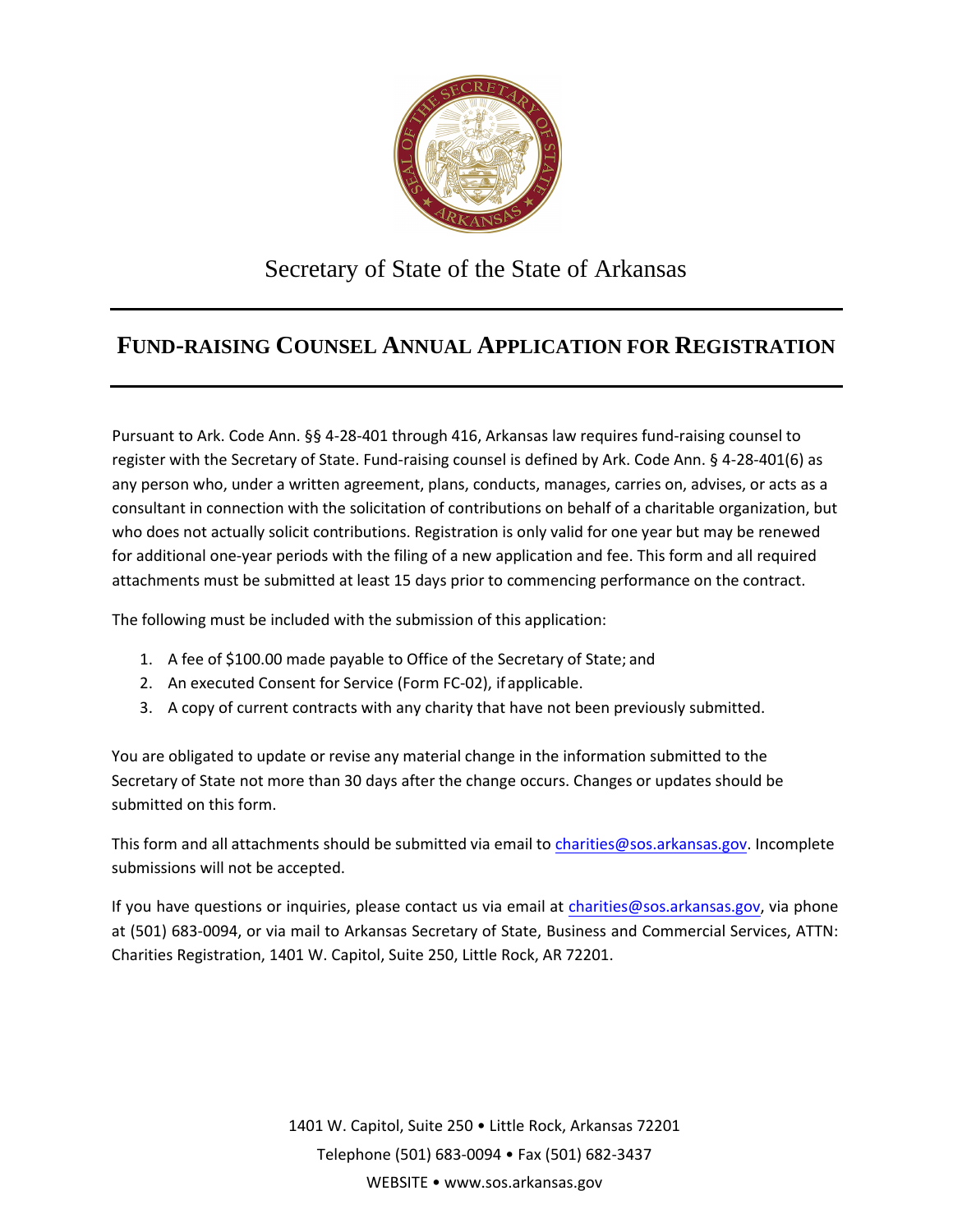

## Secretary of State of the State of Arkansas

## **FUND-RAISING COUNSEL ANNUAL APPLICATION FOR REGISTRATION**

Pursuant to Ark. Code Ann. §§ 4-28-401 through 416, Arkansas law requires fund-raising counsel to register with the Secretary of State. Fund-raising counsel is defined by Ark. Code Ann. § 4-28-401(6) as any person who, under a written agreement, plans, conducts, manages, carries on, advises, or acts as a consultant in connection with the solicitation of contributions on behalf of a charitable organization, but who does not actually solicit contributions. Registration is only valid for one year but may be renewed for additional one-year periods with the filing of a new application and fee. This form and all required attachments must be submitted at least 15 days prior to commencing performance on the contract.

The following must be included with the submission of this application:

- 1. A fee of \$100.00 made payable to Office of the Secretary of State; and
- 2. An executed Consent for Service (Form FC-02), if applicable.
- 3. A copy of current contracts with any charity that have not been previously submitted.

You are obligated to update or revise any material change in the information submitted to the Secretary of State not more than 30 days after the change occ[urs. Changes or updates shou](mailto:XXXXXX@sos.arkansas.gov)ld be submitted on this form.

This form and all attachments should be submitted via email to [charities@sos.arkansas.gov](mailto:charities@sos.arkansas.gov). Incomplete submissions will not be accepted.

If you have questions or inquiries, please contact us via email at [charities@sos.arkansas.gov](mailto:charities@sos.arkansas.gov), via phone at (501) 683-0094, or via mail to Arkansas Secretary of State, Business and Commercial Services, ATTN: Charities Registration, 1401 W. Capitol, Suite 250, Little Rock, AR 72201.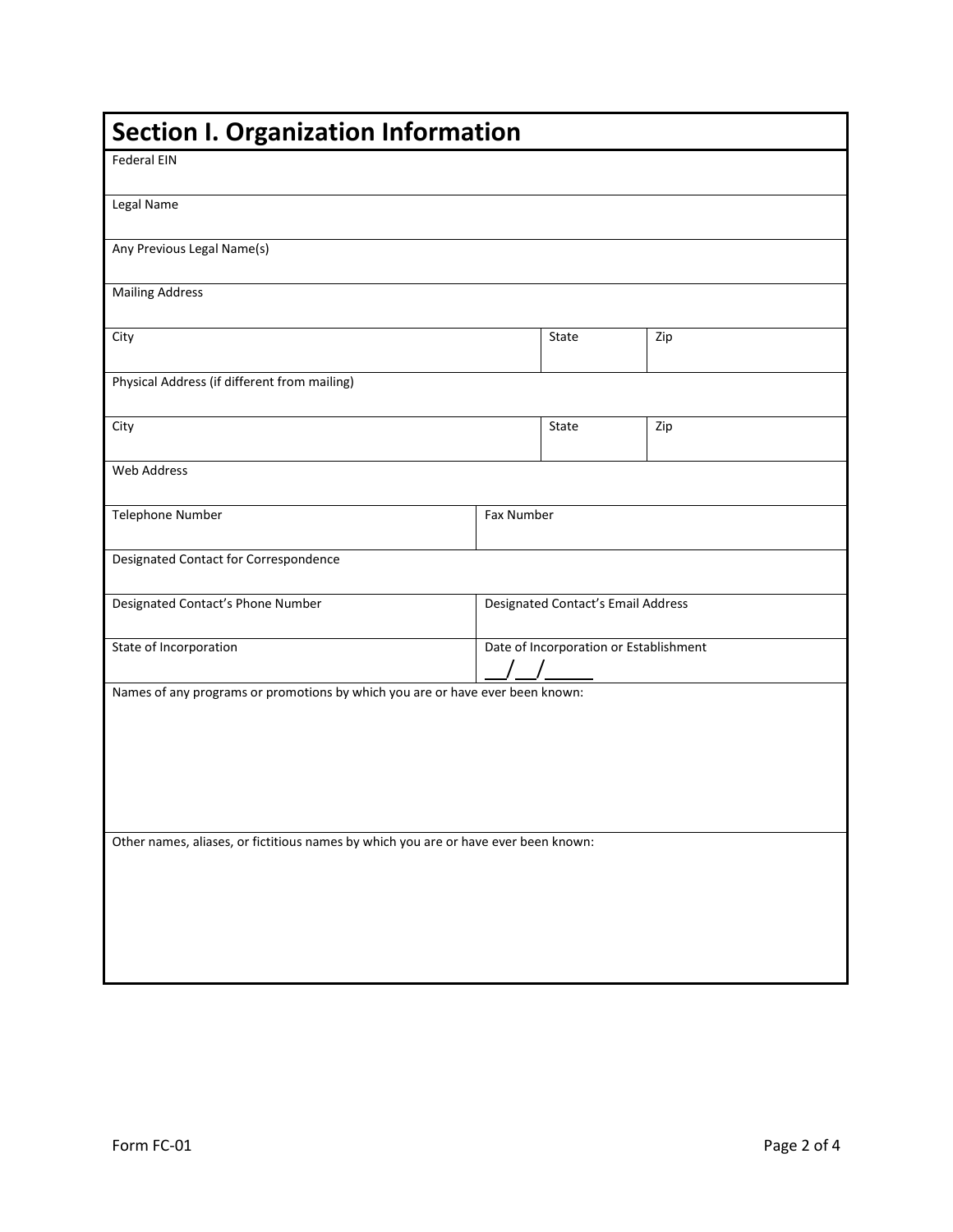| <b>Section I. Organization Information</b>                                          |  |                                        |     |  |  |
|-------------------------------------------------------------------------------------|--|----------------------------------------|-----|--|--|
| <b>Federal EIN</b>                                                                  |  |                                        |     |  |  |
| Legal Name                                                                          |  |                                        |     |  |  |
| Any Previous Legal Name(s)                                                          |  |                                        |     |  |  |
| <b>Mailing Address</b>                                                              |  |                                        |     |  |  |
| City                                                                                |  | State                                  | Zip |  |  |
| Physical Address (if different from mailing)                                        |  |                                        |     |  |  |
| City                                                                                |  | State                                  | Zip |  |  |
| Web Address                                                                         |  |                                        |     |  |  |
| Telephone Number                                                                    |  | Fax Number                             |     |  |  |
| Designated Contact for Correspondence                                               |  |                                        |     |  |  |
| Designated Contact's Phone Number                                                   |  | Designated Contact's Email Address     |     |  |  |
| State of Incorporation                                                              |  | Date of Incorporation or Establishment |     |  |  |
| Names of any programs or promotions by which you are or have ever been known:       |  |                                        |     |  |  |
|                                                                                     |  |                                        |     |  |  |
|                                                                                     |  |                                        |     |  |  |
|                                                                                     |  |                                        |     |  |  |
|                                                                                     |  |                                        |     |  |  |
| Other names, aliases, or fictitious names by which you are or have ever been known: |  |                                        |     |  |  |
|                                                                                     |  |                                        |     |  |  |
|                                                                                     |  |                                        |     |  |  |
|                                                                                     |  |                                        |     |  |  |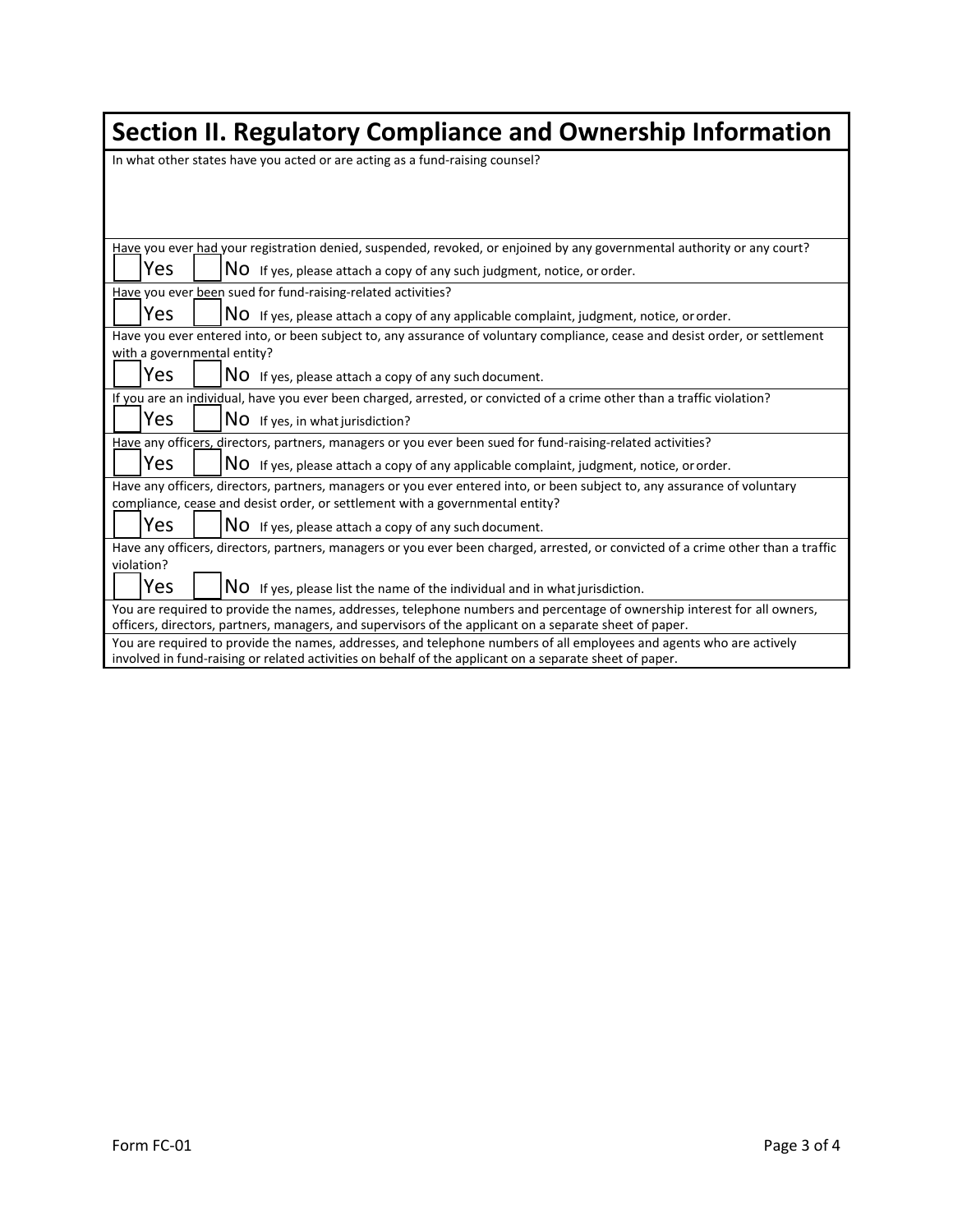| Section II. Regulatory Compliance and Ownership Information                                                                                                                                                                         |  |  |  |  |  |
|-------------------------------------------------------------------------------------------------------------------------------------------------------------------------------------------------------------------------------------|--|--|--|--|--|
| In what other states have you acted or are acting as a fund-raising counsel?                                                                                                                                                        |  |  |  |  |  |
|                                                                                                                                                                                                                                     |  |  |  |  |  |
|                                                                                                                                                                                                                                     |  |  |  |  |  |
|                                                                                                                                                                                                                                     |  |  |  |  |  |
| Have you ever had your registration denied, suspended, revoked, or enjoined by any governmental authority or any court?                                                                                                             |  |  |  |  |  |
| Yes<br>NO If yes, please attach a copy of any such judgment, notice, or order.                                                                                                                                                      |  |  |  |  |  |
| Have you ever been sued for fund-raising-related activities?                                                                                                                                                                        |  |  |  |  |  |
| Yes<br>NO If yes, please attach a copy of any applicable complaint, judgment, notice, or order.                                                                                                                                     |  |  |  |  |  |
| Have you ever entered into, or been subject to, any assurance of voluntary compliance, cease and desist order, or settlement                                                                                                        |  |  |  |  |  |
| with a governmental entity?                                                                                                                                                                                                         |  |  |  |  |  |
| Yes<br>NO If yes, please attach a copy of any such document.                                                                                                                                                                        |  |  |  |  |  |
| If you are an individual, have you ever been charged, arrested, or convicted of a crime other than a traffic violation?                                                                                                             |  |  |  |  |  |
| Yes<br>NO If yes, in what jurisdiction?                                                                                                                                                                                             |  |  |  |  |  |
| Have any officers, directors, partners, managers or you ever been sued for fund-raising-related activities?                                                                                                                         |  |  |  |  |  |
| Yes<br>NO If yes, please attach a copy of any applicable complaint, judgment, notice, or order.                                                                                                                                     |  |  |  |  |  |
| Have any officers, directors, partners, managers or you ever entered into, or been subject to, any assurance of voluntary                                                                                                           |  |  |  |  |  |
| compliance, cease and desist order, or settlement with a governmental entity?                                                                                                                                                       |  |  |  |  |  |
| Yes<br>NO If yes, please attach a copy of any such document.                                                                                                                                                                        |  |  |  |  |  |
| Have any officers, directors, partners, managers or you ever been charged, arrested, or convicted of a crime other than a traffic                                                                                                   |  |  |  |  |  |
| violation?                                                                                                                                                                                                                          |  |  |  |  |  |
| Yes<br>NO If yes, please list the name of the individual and in what jurisdiction.                                                                                                                                                  |  |  |  |  |  |
| You are required to provide the names, addresses, telephone numbers and percentage of ownership interest for all owners,<br>officers, directors, partners, managers, and supervisors of the applicant on a separate sheet of paper. |  |  |  |  |  |
| You are required to provide the names, addresses, and telephone numbers of all employees and agents who are actively<br>involved in fund-raising or related activities on behalf of the applicant on a separate sheet of paper.     |  |  |  |  |  |